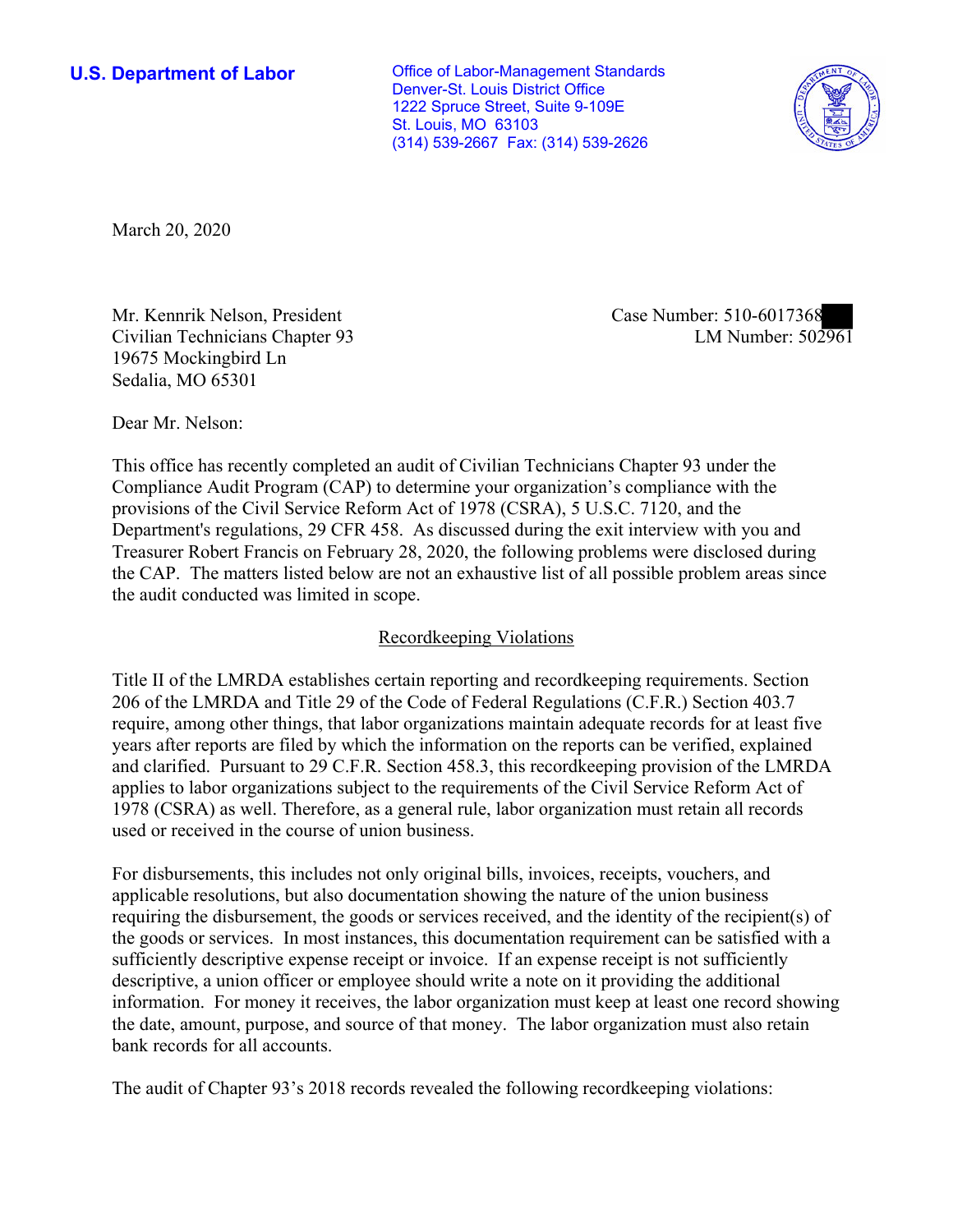Denver-St. Louis District Office St. Louis, MO 63103 (314) 539-2667 Fax: (314) 539-2626 **U.S. Department of Labor Conservative Conservative Conservative U.S.** Department of Labor 1222 Spruce Street, Suite 9-109E



March 20, 2020

Mr. Kennrik Nelson, President Case Number: 510-6017368 Civilian Technicians Chapter 93 19675 Mockingbird Ln Sedalia, MO 65301

LM Number:  $50\overline{2961}$ 

Dear Mr. Nelson:

This office has recently completed an audit of Civilian Technicians Chapter 93 under the Compliance Audit Program (CAP) to determine your organization's compliance with the provisions of the Civil Service Reform Act of 1978 (CSRA), 5 U.S.C. 7120, and the Department's regulations, 29 CFR 458. As discussed during the exit interview with you and Treasurer Robert Francis on February 28, 2020, the following problems were disclosed during the CAP. The matters listed below are not an exhaustive list of all possible problem areas since the audit conducted was limited in scope.

# Recordkeeping Violations

 require, among other things, that labor organizations maintain adequate records for at least five 1978 (CSRA) as well. Therefore, as a general rule, labor organization must retain all records Title II of the LMRDA establishes certain reporting and recordkeeping requirements. Section 206 of the LMRDA and Title 29 of the Code of Federal Regulations (C.F.R.) Section 403.7 years after reports are filed by which the information on the reports can be verified, explained and clarified. Pursuant to 29 C.F.R. Section 458.3, this recordkeeping provision of the LMRDA applies to labor organizations subject to the requirements of the Civil Service Reform Act of used or received in the course of union business. For disbursements, this includes not only original bills, invoices, receipts, vouchers, and

applicable resolutions, but also documentation showing the nature of the union business requiring the disbursement, the goods or services received, and the identity of the recipient(s) of the goods or services. In most instances, this documentation requirement can be satisfied with a sufficiently descriptive expense receipt or invoice. If an expense receipt is not sufficiently descriptive, a union officer or employee should write a note on it providing the additional information. For money it receives, the labor organization must keep at least one record showing the date, amount, purpose, and source of that money. The labor organization must also retain bank records for all accounts.

The audit of Chapter 93's 2018 records revealed the following recordkeeping violations: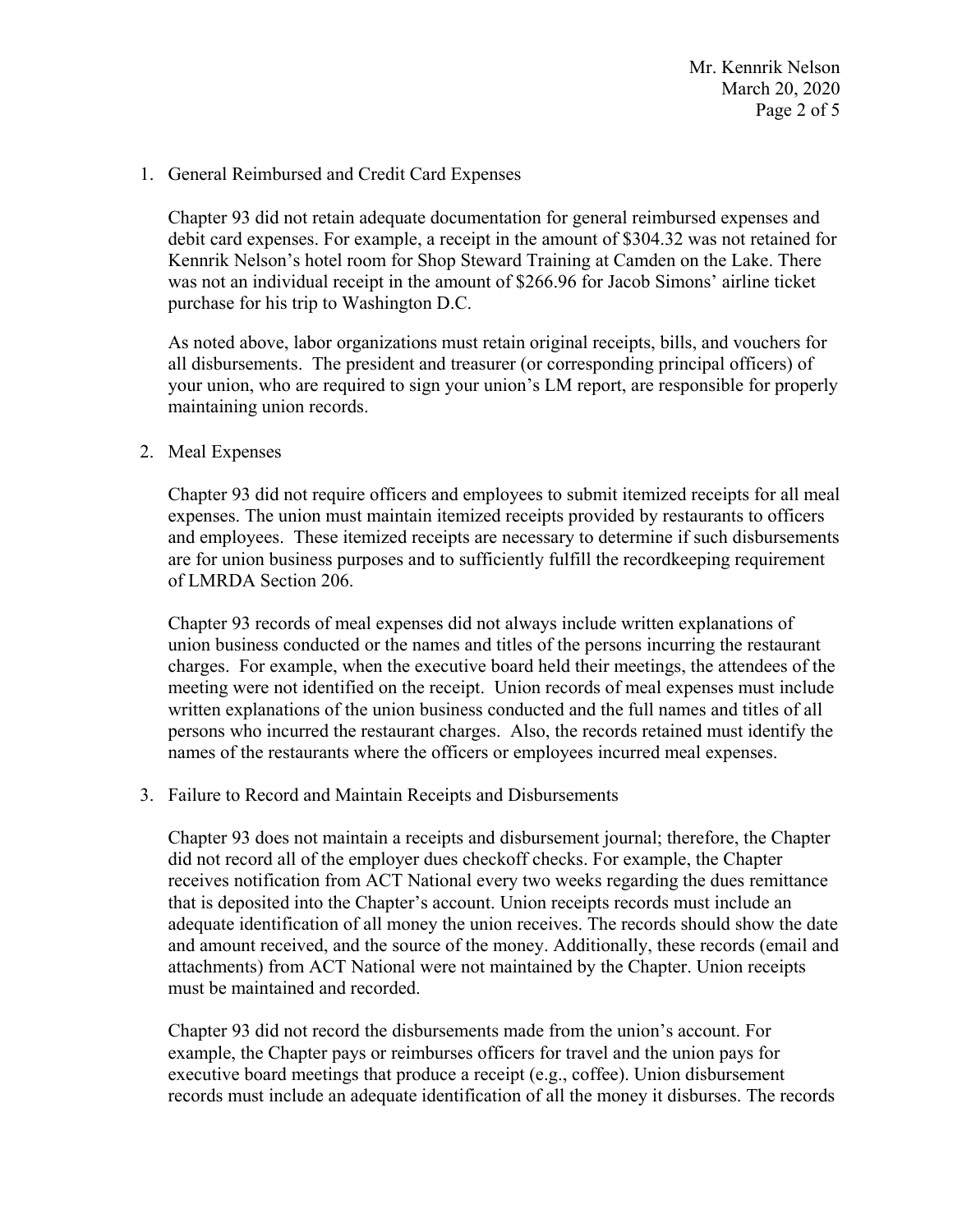Mr. Kennrik Nelson March 20, 2020 Page 2 of 5

### 1. General Reimbursed and Credit Card Expenses

 was not an individual receipt in the amount of \$266.96 for Jacob Simons' airline ticket Chapter 93 did not retain adequate documentation for general reimbursed expenses and debit card expenses. For example, a receipt in the amount of \$304.32 was not retained for Kennrik Nelson's hotel room for Shop Steward Training at Camden on the Lake. There purchase for his trip to Washington D.C.

As noted above, labor organizations must retain original receipts, bills, and vouchers for all disbursements. The president and treasurer (or corresponding principal officers) of your union, who are required to sign your union's LM report, are responsible for properly maintaining union records.

## 2. Meal Expenses

of LMRDA Section 206. Chapter 93 did not require officers and employees to submit itemized receipts for all meal expenses. The union must maintain itemized receipts provided by restaurants to officers and employees. These itemized receipts are necessary to determine if such disbursements are for union business purposes and to sufficiently fulfill the recordkeeping requirement

 persons who incurred the restaurant charges. Also, the records retained must identify the Chapter 93 records of meal expenses did not always include written explanations of union business conducted or the names and titles of the persons incurring the restaurant charges. For example, when the executive board held their meetings, the attendees of the meeting were not identified on the receipt. Union records of meal expenses must include written explanations of the union business conducted and the full names and titles of all names of the restaurants where the officers or employees incurred meal expenses.

### 3. Failure to Record and Maintain Receipts and Disbursements

Chapter 93 does not maintain a receipts and disbursement journal; therefore, the Chapter did not record all of the employer dues checkoff checks. For example, the Chapter receives notification from ACT National every two weeks regarding the dues remittance that is deposited into the Chapter's account. Union receipts records must include an adequate identification of all money the union receives. The records should show the date and amount received, and the source of the money. Additionally, these records (email and attachments) from ACT National were not maintained by the Chapter. Union receipts must be maintained and recorded.

Chapter 93 did not record the disbursements made from the union's account. For example, the Chapter pays or reimburses officers for travel and the union pays for executive board meetings that produce a receipt (e.g., coffee). Union disbursement records must include an adequate identification of all the money it disburses. The records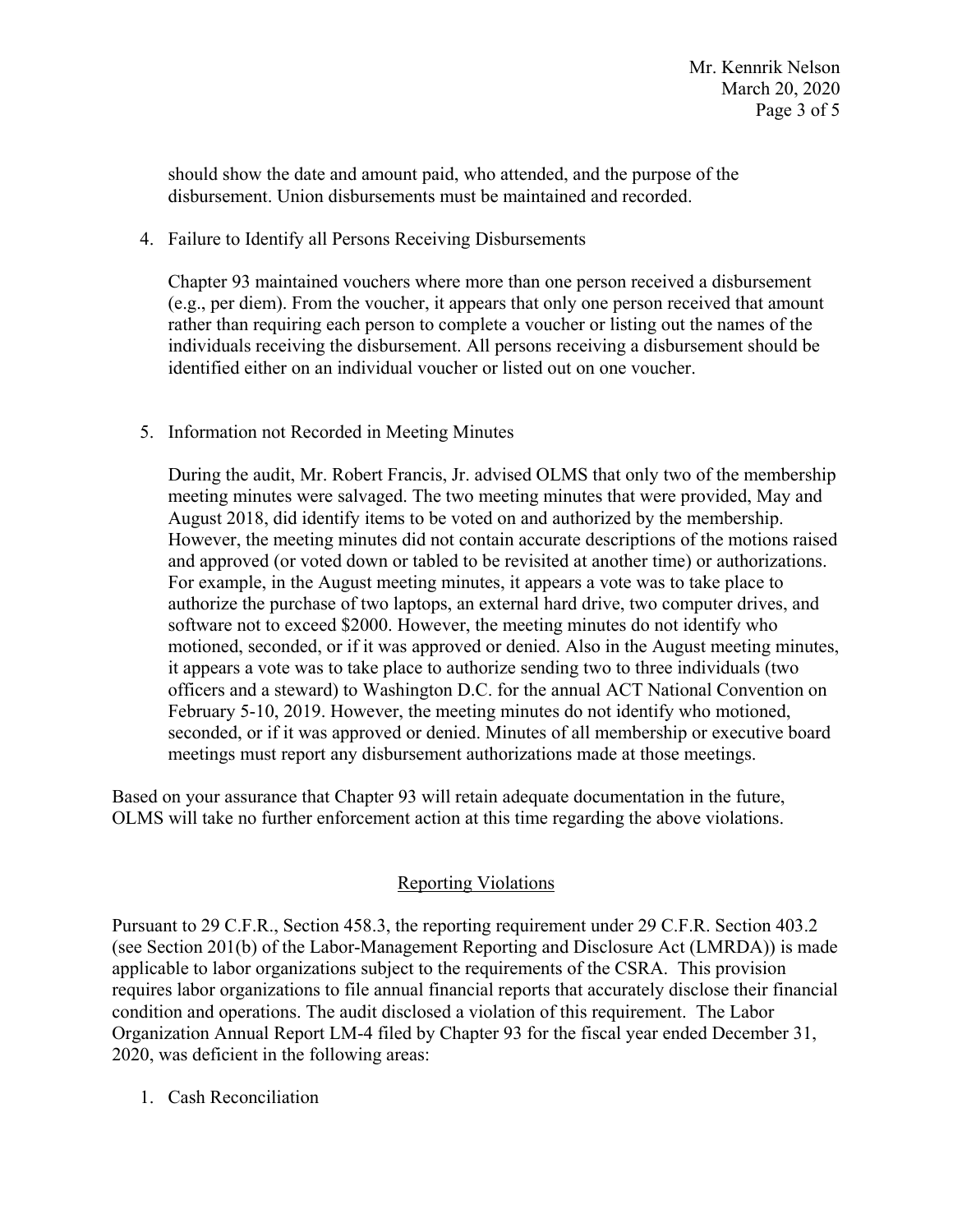should show the date and amount paid, who attended, and the purpose of the disbursement. Union disbursements must be maintained and recorded.

4. Failure to Identify all Persons Receiving Disbursements

 rather than requiring each person to complete a voucher or listing out the names of the Chapter 93 maintained vouchers where more than one person received a disbursement (e.g., per diem). From the voucher, it appears that only one person received that amount individuals receiving the disbursement. All persons receiving a disbursement should be identified either on an individual voucher or listed out on one voucher.

5. Information not Recorded in Meeting Minutes

 During the audit, Mr. Robert Francis, Jr. advised OLMS that only two of the membership meeting minutes were salvaged. The two meeting minutes that were provided, May and August 2018, did identify items to be voted on and authorized by the membership. However, the meeting minutes did not contain accurate descriptions of the motions raised and approved (or voted down or tabled to be revisited at another time) or authorizations. For example, in the August meeting minutes, it appears a vote was to take place to authorize the purchase of two laptops, an external hard drive, two computer drives, and software not to exceed \$2000. However, the meeting minutes do not identify who motioned, seconded, or if it was approved or denied. Also in the August meeting minutes, it appears a vote was to take place to authorize sending two to three individuals (two officers and a steward) to Washington D.C. for the annual ACT National Convention on February 5-10, 2019. However, the meeting minutes do not identify who motioned, seconded, or if it was approved or denied. Minutes of all membership or executive board meetings must report any disbursement authorizations made at those meetings.

Based on your assurance that Chapter 93 will retain adequate documentation in the future, OLMS will take no further enforcement action at this time regarding the above violations.

# Reporting Violations

 applicable to labor organizations subject to the requirements of the CSRA. This provision 2020, was deficient in the following areas: Pursuant to 29 C.F.R., Section 458.3, the reporting requirement under 29 C.F.R. Section 403.2 (see Section 201(b) of the Labor-Management Reporting and Disclosure Act (LMRDA)) is made requires labor organizations to file annual financial reports that accurately disclose their financial condition and operations. The audit disclosed a violation of this requirement. The Labor Organization Annual Report LM-4 filed by Chapter 93 for the fiscal year ended December 31,

1. Cash Reconciliation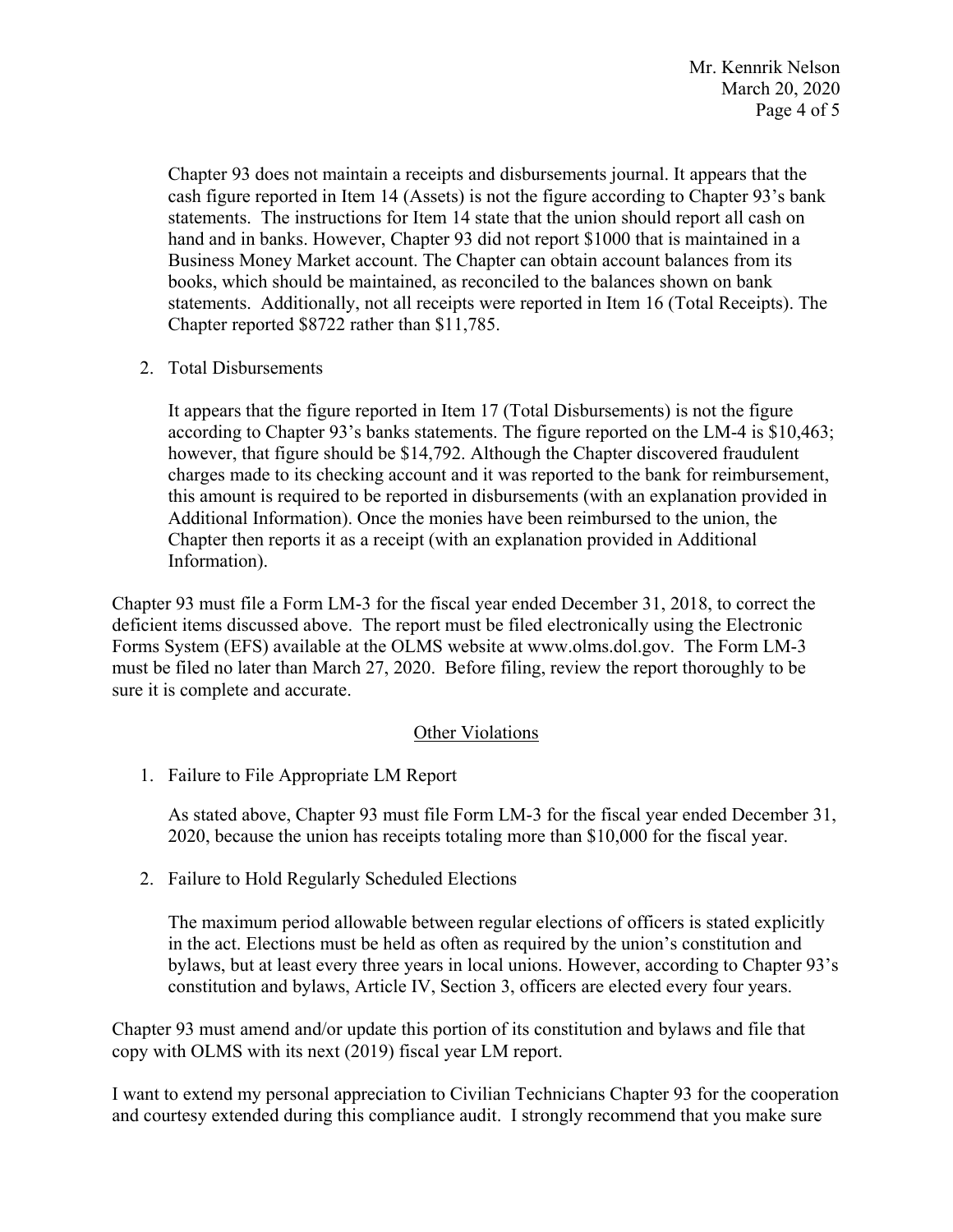statements. Additionally, not all receipts were reported in Item 16 (Total Receipts). The Chapter 93 does not maintain a receipts and disbursements journal. It appears that the cash figure reported in Item 14 (Assets) is not the figure according to Chapter 93's bank statements. The instructions for Item 14 state that the union should report all cash on hand and in banks. However, Chapter 93 did not report \$1000 that is maintained in a Business Money Market account. The Chapter can obtain account balances from its books, which should be maintained, as reconciled to the balances shown on bank Chapter reported \$8722 rather than \$11,785.

2. Total Disbursements

 It appears that the figure reported in Item 17 (Total Disbursements) is not the figure according to Chapter 93's banks statements. The figure reported on the LM-4 is \$10,463; however, that figure should be \$14,792. Although the Chapter discovered fraudulent charges made to its checking account and it was reported to the bank for reimbursement, this amount is required to be reported in disbursements (with an explanation provided in Additional Information). Once the monies have been reimbursed to the union, the Chapter then reports it as a receipt (with an explanation provided in Additional Information).

 Chapter 93 must file a Form LM-3 for the fiscal year ended December 31, 2018, to correct the Forms System (EFS) available at the OLMS website at [www.olms.dol.gov.](www.olms.dol.gov) The Form LM-3 sure it is complete and accurate.<br>Other Violations deficient items discussed above. The report must be filed electronically using the Electronic must be filed no later than March 27, 2020. Before filing, review the report thoroughly to be

1. Failure to File Appropriate LM Report

As stated above, Chapter 93 must file Form LM-3 for the fiscal year ended December 31, 2020, because the union has receipts totaling more than \$10,000 for the fiscal year.

2. Failure to Hold Regularly Scheduled Elections

2. Failure to Hold Regularly Scheduled Elections<br>The maximum period allowable between regular elections of officers is stated explicitly in the act. Elections must be held as often as required by the union's constitution and bylaws, but at least every three years in local unions. However, according to Chapter 93's constitution and bylaws, Article IV, Section 3, officers are elected every four years.

 Chapter 93 must amend and/or update this portion of its constitution and bylaws and file that copy with OLMS with its next (2019) fiscal year LM report.

I want to extend my personal appreciation to Civilian Technicians Chapter 93 for the cooperation and courtesy extended during this compliance audit. I strongly recommend that you make sure